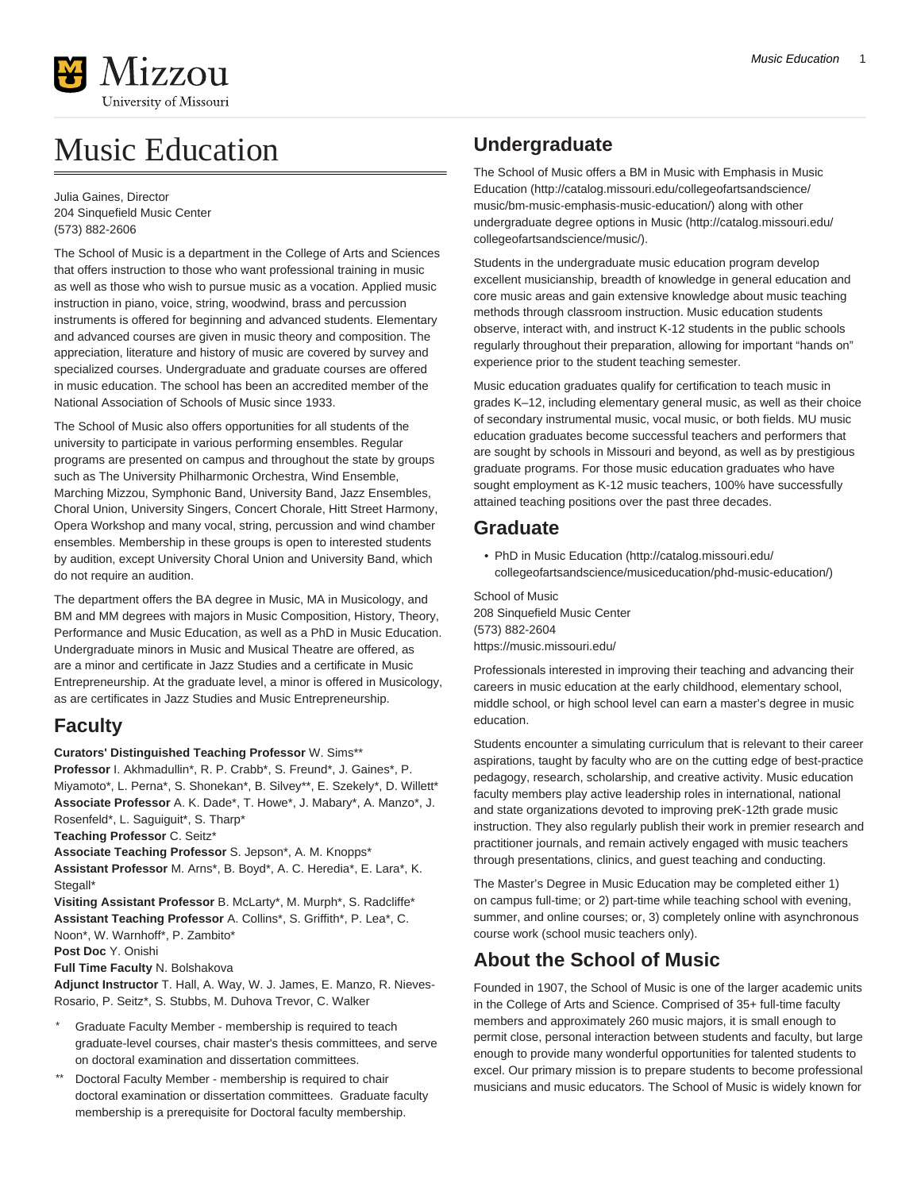

# Music Education

Julia Gaines, Director 204 Sinquefield Music Center (573) 882-2606

The School of Music is a department in the College of Arts and Sciences that offers instruction to those who want professional training in music as well as those who wish to pursue music as a vocation. Applied music instruction in piano, voice, string, woodwind, brass and percussion instruments is offered for beginning and advanced students. Elementary and advanced courses are given in music theory and composition. The appreciation, literature and history of music are covered by survey and specialized courses. Undergraduate and graduate courses are offered in music education. The school has been an accredited member of the National Association of Schools of Music since 1933.

The School of Music also offers opportunities for all students of the university to participate in various performing ensembles. Regular programs are presented on campus and throughout the state by groups such as The University Philharmonic Orchestra, Wind Ensemble, Marching Mizzou, Symphonic Band, University Band, Jazz Ensembles, Choral Union, University Singers, Concert Chorale, Hitt Street Harmony, Opera Workshop and many vocal, string, percussion and wind chamber ensembles. Membership in these groups is open to interested students by audition, except University Choral Union and University Band, which do not require an audition.

The department offers the BA degree in Music, MA in Musicology, and BM and MM degrees with majors in Music Composition, History, Theory, Performance and Music Education, as well as a PhD in Music Education. Undergraduate minors in Music and Musical Theatre are offered, as are a minor and certificate in Jazz Studies and a certificate in Music Entrepreneurship. At the graduate level, a minor is offered in Musicology, as are certificates in Jazz Studies and Music Entrepreneurship.

# **Faculty**

**Curators' Distinguished Teaching Professor** W. Sims\*\*

**Professor** I. Akhmadullin\*, R. P. Crabb\*, S. Freund\*, J. Gaines\*, P. Miyamoto\*, L. Perna\*, S. Shonekan\*, B. Silvey\*\*, E. Szekely\*, D. Willett\* **Associate Professor** A. K. Dade\*, T. Howe\*, J. Mabary\*, A. Manzo\*, J. Rosenfeld\*, L. Saguiguit\*, S. Tharp\*

**Teaching Professor** C. Seitz\*

**Associate Teaching Professor** S. Jepson\*, A. M. Knopps\* **Assistant Professor** M. Arns\*, B. Boyd\*, A. C. Heredia\*, E. Lara\*, K. Stegall\*

**Visiting Assistant Professor** B. McLarty\*, M. Murph\*, S. Radcliffe\* **Assistant Teaching Professor** A. Collins\*, S. Griffith\*, P. Lea\*, C. Noon\*, W. Warnhoff\*, P. Zambito\*

**Post Doc** Y. Onishi

**Full Time Faculty** N. Bolshakova

**Adjunct Instructor** T. Hall, A. Way, W. J. James, E. Manzo, R. Nieves-Rosario, P. Seitz\*, S. Stubbs, M. Duhova Trevor, C. Walker

- Graduate Faculty Member membership is required to teach graduate-level courses, chair master's thesis committees, and serve on doctoral examination and dissertation committees.
- Doctoral Faculty Member membership is required to chair doctoral examination or dissertation committees. Graduate faculty membership is a prerequisite for Doctoral faculty membership.

# **Undergraduate**

The School of Music offers a [BM in Music with Emphasis in Music](http://catalog.missouri.edu/collegeofartsandscience/music/bm-music-emphasis-music-education/) [Education \(http://catalog.missouri.edu/collegeofartsandscience/](http://catalog.missouri.edu/collegeofartsandscience/music/bm-music-emphasis-music-education/) [music/bm-music-emphasis-music-education/\)](http://catalog.missouri.edu/collegeofartsandscience/music/bm-music-emphasis-music-education/) along with other undergraduate degree options in [Music](http://catalog.missouri.edu/collegeofartsandscience/music/) ([http://catalog.missouri.edu/](http://catalog.missouri.edu/collegeofartsandscience/music/) [collegeofartsandscience/music/](http://catalog.missouri.edu/collegeofartsandscience/music/)).

Students in the undergraduate music education program develop excellent musicianship, breadth of knowledge in general education and core music areas and gain extensive knowledge about music teaching methods through classroom instruction. Music education students observe, interact with, and instruct K-12 students in the public schools regularly throughout their preparation, allowing for important "hands on" experience prior to the student teaching semester.

Music education graduates qualify for certification to teach music in grades K–12, including elementary general music, as well as their choice of secondary instrumental music, vocal music, or both fields. MU music education graduates become successful teachers and performers that are sought by schools in Missouri and beyond, as well as by prestigious graduate programs. For those music education graduates who have sought employment as K-12 music teachers, 100% have successfully attained teaching positions over the past three decades.

# **Graduate**

• [PhD in Music Education](http://catalog.missouri.edu/collegeofartsandscience/musiceducation/phd-music-education/) ([http://catalog.missouri.edu/](http://catalog.missouri.edu/collegeofartsandscience/musiceducation/phd-music-education/) [collegeofartsandscience/musiceducation/phd-music-education/](http://catalog.missouri.edu/collegeofartsandscience/musiceducation/phd-music-education/))

School of Music 208 Sinquefield Music Center (573) 882-2604 <https://music.missouri.edu/>

Professionals interested in improving their teaching and advancing their careers in music education at the early childhood, elementary school, middle school, or high school level can earn a master's degree in music education.

Students encounter a simulating curriculum that is relevant to their career aspirations, taught by faculty who are on the cutting edge of best-practice pedagogy, research, scholarship, and creative activity. Music education faculty members play active leadership roles in international, national and state organizations devoted to improving preK-12th grade music instruction. They also regularly publish their work in premier research and practitioner journals, and remain actively engaged with music teachers through presentations, clinics, and guest teaching and conducting.

The Master's Degree in Music Education may be completed either 1) on campus full-time; or 2) part-time while teaching school with evening, summer, and online courses; or, 3) completely online with asynchronous course work (school music teachers only).

# **About the School of Music**

Founded in 1907, the School of Music is one of the larger academic units in the College of Arts and Science. Comprised of 35+ full-time faculty members and approximately 260 music majors, it is small enough to permit close, personal interaction between students and faculty, but large enough to provide many wonderful opportunities for talented students to excel. Our primary mission is to prepare students to become professional musicians and music educators. The School of Music is widely known for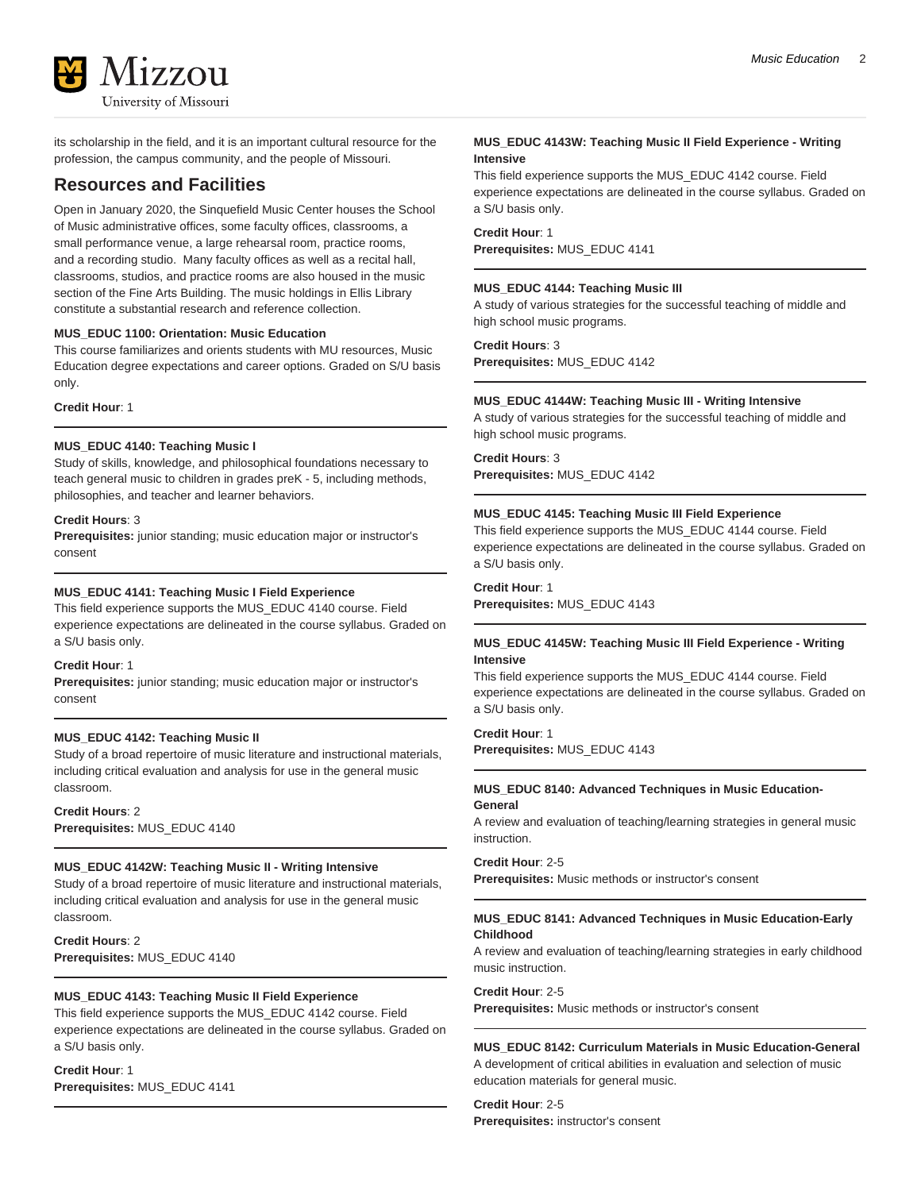

its scholarship in the field, and it is an important cultural resource for the profession, the campus community, and the people of Missouri.

# **Resources and Facilities**

Open in January 2020, the Sinquefield Music Center houses the School of Music administrative offices, some faculty offices, classrooms, a small performance venue, a large rehearsal room, practice rooms, and a recording studio. Many faculty offices as well as a recital hall, classrooms, studios, and practice rooms are also housed in the music section of the Fine Arts Building. The music holdings in Ellis Library constitute a substantial research and reference collection.

# **MUS\_EDUC 1100: Orientation: Music Education**

This course familiarizes and orients students with MU resources, Music Education degree expectations and career options. Graded on S/U basis only.

**Credit Hour**: 1

# **MUS\_EDUC 4140: Teaching Music I**

Study of skills, knowledge, and philosophical foundations necessary to teach general music to children in grades preK - 5, including methods, philosophies, and teacher and learner behaviors.

# **Credit Hours**: 3

**Prerequisites:** junior standing; music education major or instructor's consent

# **MUS\_EDUC 4141: Teaching Music I Field Experience**

This field experience supports the MUS\_EDUC 4140 course. Field experience expectations are delineated in the course syllabus. Graded on a S/U basis only.

# **Credit Hour**: 1

**Prerequisites:** junior standing; music education major or instructor's consent

# **MUS\_EDUC 4142: Teaching Music II**

Study of a broad repertoire of music literature and instructional materials, including critical evaluation and analysis for use in the general music classroom.

# **Credit Hours**: 2

**Prerequisites:** MUS\_EDUC 4140

# **MUS\_EDUC 4142W: Teaching Music II - Writing Intensive**

Study of a broad repertoire of music literature and instructional materials, including critical evaluation and analysis for use in the general music classroom.

**Credit Hours**: 2 **Prerequisites:** MUS\_EDUC 4140

# **MUS\_EDUC 4143: Teaching Music II Field Experience**

This field experience supports the MUS\_EDUC 4142 course. Field experience expectations are delineated in the course syllabus. Graded on a S/U basis only.

**Credit Hour**: 1 **Prerequisites:** MUS\_EDUC 4141

# **MUS\_EDUC 4143W: Teaching Music II Field Experience - Writing Intensive**

This field experience supports the MUS\_EDUC 4142 course. Field experience expectations are delineated in the course syllabus. Graded on a S/U basis only.

#### **Credit Hour**: 1

**Prerequisites:** MUS\_EDUC 4141

# **MUS\_EDUC 4144: Teaching Music III**

A study of various strategies for the successful teaching of middle and high school music programs.

# **Credit Hours**: 3

**Prerequisites:** MUS\_EDUC 4142

# **MUS\_EDUC 4144W: Teaching Music III - Writing Intensive**

A study of various strategies for the successful teaching of middle and high school music programs.

# **Credit Hours**: 3 **Prerequisites:** MUS\_EDUC 4142

# **MUS\_EDUC 4145: Teaching Music III Field Experience**

This field experience supports the MUS\_EDUC 4144 course. Field experience expectations are delineated in the course syllabus. Graded on a S/U basis only.

# **Credit Hour**: 1

**Prerequisites:** MUS\_EDUC 4143

# **MUS\_EDUC 4145W: Teaching Music III Field Experience - Writing Intensive**

This field experience supports the MUS\_EDUC 4144 course. Field experience expectations are delineated in the course syllabus. Graded on a S/U basis only.

**Credit Hour**: 1

**Prerequisites:** MUS\_EDUC 4143

# **MUS\_EDUC 8140: Advanced Techniques in Music Education-General**

A review and evaluation of teaching/learning strategies in general music instruction.

**Credit Hour**: 2-5

**Prerequisites:** Music methods or instructor's consent

# **MUS\_EDUC 8141: Advanced Techniques in Music Education-Early Childhood**

A review and evaluation of teaching/learning strategies in early childhood music instruction.

**Credit Hour**: 2-5

**Prerequisites:** Music methods or instructor's consent

**MUS\_EDUC 8142: Curriculum Materials in Music Education-General** A development of critical abilities in evaluation and selection of music education materials for general music.

**Credit Hour**: 2-5 **Prerequisites:** instructor's consent